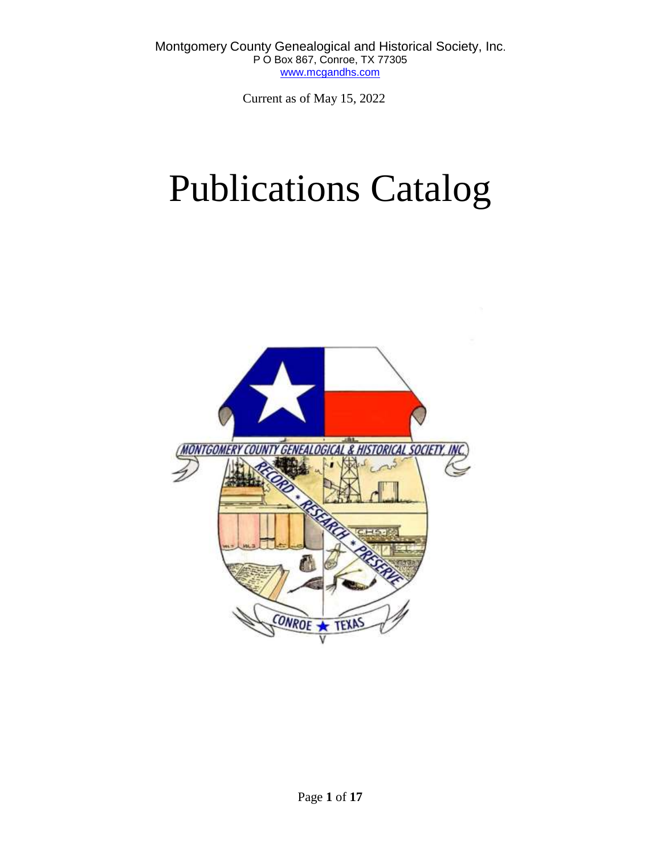Current as of May 15, 2022

# Publications Catalog

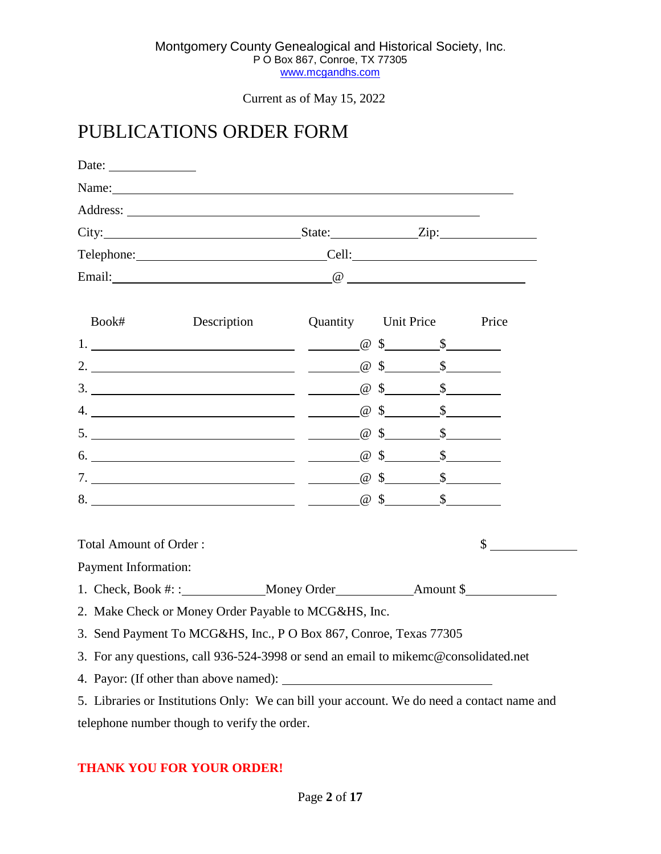## PUBLICATIONS ORDER FORM

| Date: $\frac{1}{\sqrt{1-\frac{1}{2}} \cdot \frac{1}{2}}$ |                                                                                                                                                                                                                                     |                                       |  |        |  |
|----------------------------------------------------------|-------------------------------------------------------------------------------------------------------------------------------------------------------------------------------------------------------------------------------------|---------------------------------------|--|--------|--|
|                                                          |                                                                                                                                                                                                                                     |                                       |  |        |  |
|                                                          |                                                                                                                                                                                                                                     |                                       |  |        |  |
|                                                          | City: <u>City:</u> City: City: City: City: City: City: City: City: City: City: City: City: City: City: City: City: City: City: City: City: City: City: City: City: City: City: City: City: City: City: City: City: City: City: City |                                       |  |        |  |
|                                                          | Telephone: Cell:                                                                                                                                                                                                                    |                                       |  |        |  |
|                                                          | Email: Contract Contract Contract Contract Contract Contract Contract Contract Contract Contract Contract Contract Contract Contract Contract Contract Contract Contract Contract Contract Contract Contract Contract Contract      |                                       |  |        |  |
| Book#                                                    |                                                                                                                                                                                                                                     | Description Quantity Unit Price Price |  |        |  |
|                                                          |                                                                                                                                                                                                                                     |                                       |  |        |  |
|                                                          |                                                                                                                                                                                                                                     |                                       |  |        |  |
|                                                          |                                                                                                                                                                                                                                     |                                       |  |        |  |
|                                                          |                                                                                                                                                                                                                                     |                                       |  |        |  |
|                                                          |                                                                                                                                                                                                                                     |                                       |  |        |  |
|                                                          |                                                                                                                                                                                                                                     |                                       |  |        |  |
|                                                          |                                                                                                                                                                                                                                     |                                       |  |        |  |
|                                                          |                                                                                                                                                                                                                                     |                                       |  |        |  |
| <b>Total Amount of Order:</b>                            |                                                                                                                                                                                                                                     |                                       |  | $\sim$ |  |
| Payment Information:                                     |                                                                                                                                                                                                                                     |                                       |  |        |  |
|                                                          |                                                                                                                                                                                                                                     |                                       |  |        |  |
|                                                          | 2. Make Check or Money Order Payable to MCG&HS, Inc.                                                                                                                                                                                |                                       |  |        |  |
|                                                          | 3. Send Payment To MCG&HS, Inc., P O Box 867, Conroe, Texas 77305                                                                                                                                                                   |                                       |  |        |  |
|                                                          | 3. For any questions, call 936-524-3998 or send an email to mikemc@consolidated.net                                                                                                                                                 |                                       |  |        |  |
|                                                          |                                                                                                                                                                                                                                     |                                       |  |        |  |
|                                                          | 5. Libraries or Institutions Only: We can bill your account. We do need a contact name and                                                                                                                                          |                                       |  |        |  |

 $\overline{\phantom{0}}$ 

telephone number though to verify the order.

## **THANK YOU FOR YOUR ORDER!**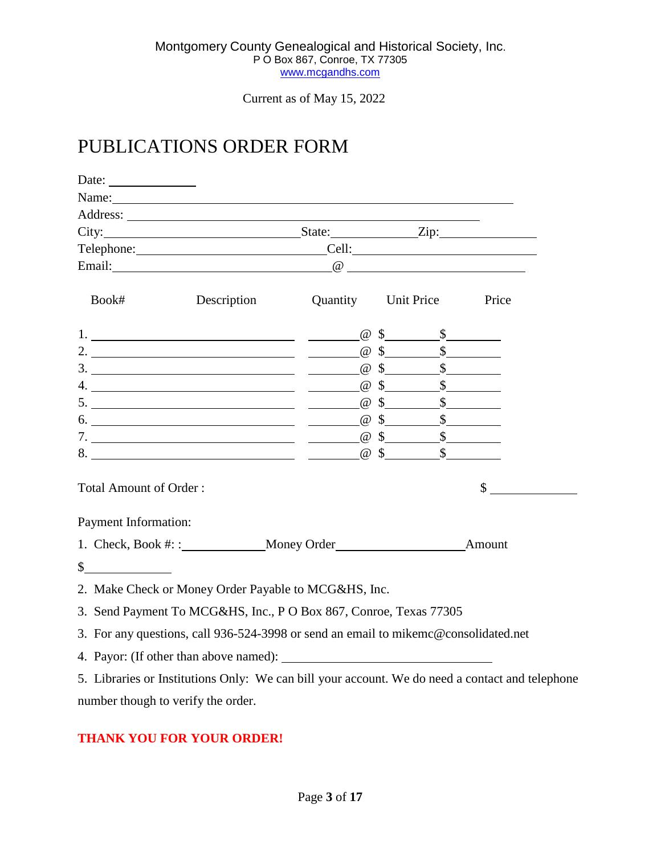Current as of May 15, 2022

# PUBLICATIONS ORDER FORM

| Date: $\qquad \qquad$         |                                                                                                                                                                                                                                                                                                                                                                                                                                                                          |  |    |
|-------------------------------|--------------------------------------------------------------------------------------------------------------------------------------------------------------------------------------------------------------------------------------------------------------------------------------------------------------------------------------------------------------------------------------------------------------------------------------------------------------------------|--|----|
|                               | Name: Name:                                                                                                                                                                                                                                                                                                                                                                                                                                                              |  |    |
|                               |                                                                                                                                                                                                                                                                                                                                                                                                                                                                          |  |    |
|                               | City: City: City: City:                                                                                                                                                                                                                                                                                                                                                                                                                                                  |  |    |
|                               | Telephone: Cell: Cell:                                                                                                                                                                                                                                                                                                                                                                                                                                                   |  |    |
|                               | Email: Contract Contract Contract Contract Contract Contract Contract Contract Contract Contract Contract Contract Contract Contract Contract Contract Contract Contract Contract Contract Contract Contract Contract Contract                                                                                                                                                                                                                                           |  |    |
| Book#                         | Description Quantity Unit Price Price                                                                                                                                                                                                                                                                                                                                                                                                                                    |  |    |
|                               |                                                                                                                                                                                                                                                                                                                                                                                                                                                                          |  |    |
|                               | 2. $\frac{\alpha}{100}$ $\frac{\alpha}{100}$ $\frac{\beta}{100}$ $\frac{\beta}{100}$                                                                                                                                                                                                                                                                                                                                                                                     |  |    |
|                               | 3. $\frac{\alpha}{100}$ $\frac{\alpha}{100}$ $\frac{\beta}{100}$ $\frac{\beta}{100}$                                                                                                                                                                                                                                                                                                                                                                                     |  |    |
|                               |                                                                                                                                                                                                                                                                                                                                                                                                                                                                          |  |    |
|                               |                                                                                                                                                                                                                                                                                                                                                                                                                                                                          |  |    |
|                               |                                                                                                                                                                                                                                                                                                                                                                                                                                                                          |  |    |
|                               |                                                                                                                                                                                                                                                                                                                                                                                                                                                                          |  |    |
|                               | 8. $\overline{\phantom{1}}$ $\overline{\phantom{1}}$ $\overline{\phantom{1}}$ $\overline{\phantom{1}}$ $\overline{\phantom{1}}$ $\overline{\phantom{1}}$ $\overline{\phantom{1}}$ $\overline{\phantom{1}}$ $\overline{\phantom{1}}$ $\overline{\phantom{1}}$ $\overline{\phantom{1}}$ $\overline{\phantom{1}}$ $\overline{\phantom{1}}$ $\overline{\phantom{1}}$ $\overline{\phantom{1}}$ $\overline{\phantom{1}}$ $\overline{\phantom{1}}$ $\overline{\phantom{1}}$ $\$ |  |    |
| <b>Total Amount of Order:</b> |                                                                                                                                                                                                                                                                                                                                                                                                                                                                          |  | \$ |
| Payment Information:          |                                                                                                                                                                                                                                                                                                                                                                                                                                                                          |  |    |
|                               |                                                                                                                                                                                                                                                                                                                                                                                                                                                                          |  |    |
| $\sim$                        |                                                                                                                                                                                                                                                                                                                                                                                                                                                                          |  |    |
|                               | 2. Make Check or Money Order Payable to MCG&HS, Inc.                                                                                                                                                                                                                                                                                                                                                                                                                     |  |    |
|                               | 3. Send Payment To MCG&HS, Inc., P O Box 867, Conroe, Texas 77305                                                                                                                                                                                                                                                                                                                                                                                                        |  |    |
|                               | 3. For any questions, call 936-524-3998 or send an email to mikemc@consolidated.net                                                                                                                                                                                                                                                                                                                                                                                      |  |    |
|                               |                                                                                                                                                                                                                                                                                                                                                                                                                                                                          |  |    |
|                               | 5. Libraries or Institutions Only: We can bill your account. We do need a contact and telephone                                                                                                                                                                                                                                                                                                                                                                          |  |    |
|                               | number though to verify the order.                                                                                                                                                                                                                                                                                                                                                                                                                                       |  |    |

## **THANK YOU FOR YOUR ORDER!**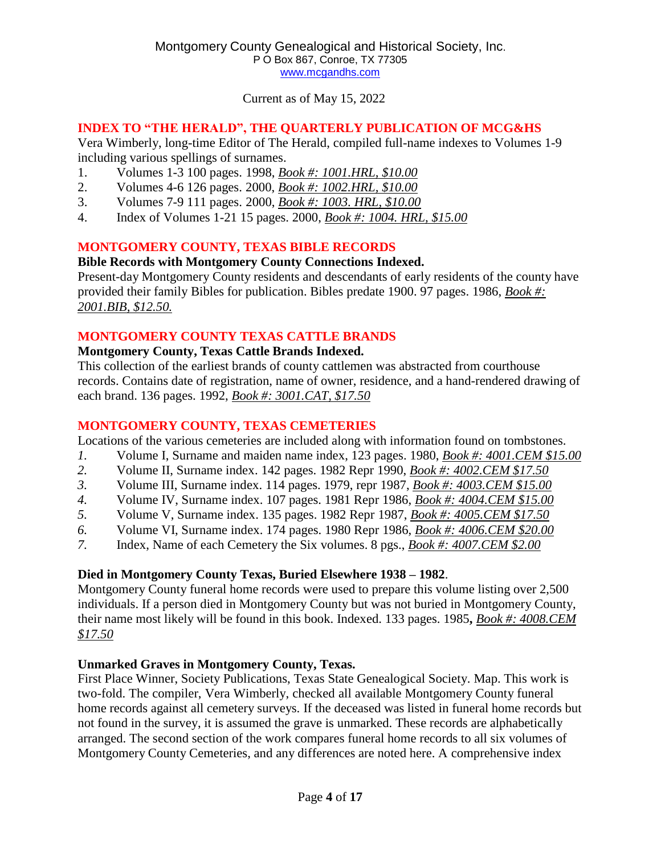## **INDEX TO "THE HERALD", THE QUARTERLY PUBLICATION OF MCG&HS**

Vera Wimberly, long-time Editor of The Herald, compiled full-name indexes to Volumes 1-9 including various spellings of surnames.

- 1. Volumes 1-3 100 pages. 1998, *Book #: 1001.HRL, \$10.00*
- 2. Volumes 4-6 126 pages. 2000, *Book #: 1002.HRL, \$10.00*
- 3. Volumes 7-9 111 pages. 2000, *Book #: 1003. HRL, \$10.00*
- 4. Index of Volumes 1-21 15 pages. 2000, *Book #: 1004. HRL, \$15.00*

## **MONTGOMERY COUNTY, TEXAS BIBLE RECORDS**

## **Bible Records with Montgomery County Connections Indexed.**

Present-day Montgomery County residents and descendants of early residents of the county have provided their family Bibles for publication. Bibles predate 1900. 97 pages. 1986, *Book #: 2001.BIB, \$12.50.*

## **MONTGOMERY COUNTY TEXAS CATTLE BRANDS**

## **Montgomery County, Texas Cattle Brands Indexed.**

This collection of the earliest brands of county cattlemen was abstracted from courthouse records. Contains date of registration, name of owner, residence, and a hand-rendered drawing of each brand. 136 pages. 1992, *Book #: 3001.CAT, \$17.50*

## **MONTGOMERY COUNTY, TEXAS CEMETERIES**

Locations of the various cemeteries are included along with information found on tombstones.

- *1.* Volume I, Surname and maiden name index, 123 pages. 1980, *Book #: 4001.CEM \$15.00*
- *2.* Volume II, Surname index. 142 pages. 1982 Repr 1990, *Book #: 4002.CEM \$17.50*
- *3.* Volume III, Surname index. 114 pages. 1979, repr 1987, *Book #: 4003.CEM \$15.00*
- *4.* Volume IV, Surname index. 107 pages. 1981 Repr 1986, *Book #: 4004.CEM \$15.00*
- *5.* Volume V, Surname index. 135 pages. 1982 Repr 1987, *Book #: 4005.CEM \$17.50*
- *6.* Volume VI, Surname index. 174 pages. 1980 Repr 1986, *Book #: 4006.CEM \$20.00*
- *7.* Index, Name of each Cemetery the Six volumes. 8 pgs., *Book #: 4007.CEM \$2.00*

## **Died in Montgomery County Texas, Buried Elsewhere 1938 – 1982**.

Montgomery County funeral home records were used to prepare this volume listing over 2,500 individuals. If a person died in Montgomery County but was not buried in Montgomery County, their name most likely will be found in this book. Indexed. 133 pages. 1985**,** *Book #: 4008.CEM \$17.50*

## **Unmarked Graves in Montgomery County, Texas.**

First Place Winner, Society Publications, Texas State Genealogical Society. Map. This work is two-fold. The compiler, Vera Wimberly, checked all available Montgomery County funeral home records against all cemetery surveys. If the deceased was listed in funeral home records but not found in the survey, it is assumed the grave is unmarked. These records are alphabetically arranged. The second section of the work compares funeral home records to all six volumes of Montgomery County Cemeteries, and any differences are noted here. A comprehensive index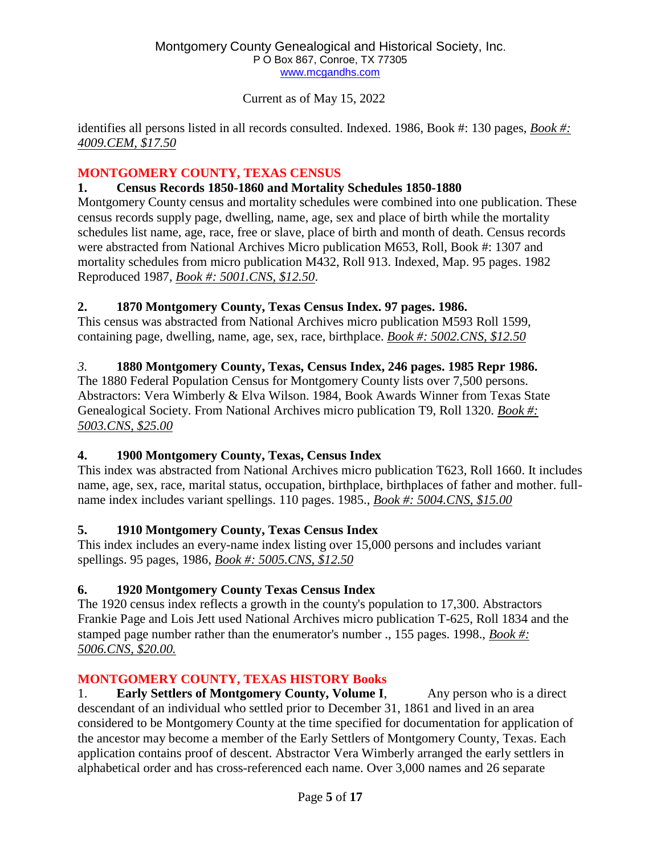Current as of May 15, 2022

identifies all persons listed in all records consulted. Indexed. 1986, Book #: 130 pages, *Book #: 4009.CEM, \$17.50*

## **MONTGOMERY COUNTY, TEXAS CENSUS**

## **1. Census Records 1850-1860 and Mortality Schedules 1850-1880**

Montgomery County census and mortality schedules were combined into one publication. These census records supply page, dwelling, name, age, sex and place of birth while the mortality schedules list name, age, race, free or slave, place of birth and month of death. Census records were abstracted from National Archives Micro publication M653, Roll, Book #: 1307 and mortality schedules from micro publication M432, Roll 913. Indexed, Map. 95 pages. 1982 Reproduced 1987, *Book #: 5001.CNS, \$12.50*.

## **2. 1870 Montgomery County, Texas Census Index. 97 pages. 1986.**

This census was abstracted from National Archives micro publication M593 Roll 1599, containing page, dwelling, name, age, sex, race, birthplace. *Book #: 5002.CNS, \$12.50*

## *3.* **1880 Montgomery County, Texas, Census Index, 246 pages. 1985 Repr 1986.**

The 1880 Federal Population Census for Montgomery County lists over 7,500 persons. Abstractors: Vera Wimberly & Elva Wilson. 1984, Book Awards Winner from Texas State Genealogical Society. From National Archives micro publication T9, Roll 1320. *Book #: 5003.CNS, \$25.00*

## **4. 1900 Montgomery County, Texas, Census Index**

This index was abstracted from National Archives micro publication T623, Roll 1660. It includes name, age, sex, race, marital status, occupation, birthplace, birthplaces of father and mother. fullname index includes variant spellings. 110 pages. 1985., *Book #: 5004.CNS, \$15.00*

## **5. 1910 Montgomery County, Texas Census Index**

This index includes an every-name index listing over 15,000 persons and includes variant spellings. 95 pages, 1986, *Book #: 5005.CNS, \$12.50*

## **6. 1920 Montgomery County Texas Census Index**

The 1920 census index reflects a growth in the county's population to 17,300. Abstractors Frankie Page and Lois Jett used National Archives micro publication T-625, Roll 1834 and the stamped page number rather than the enumerator's number ., 155 pages. 1998., *Book #: 5006.CNS, \$20.00.*

## **MONTGOMERY COUNTY, TEXAS HISTORY Books**

1. **Early Settlers of Montgomery County, Volume I**, Any person who is a direct descendant of an individual who settled prior to December 31, 1861 and lived in an area considered to be Montgomery County at the time specified for documentation for application of the ancestor may become a member of the Early Settlers of Montgomery County, Texas. Each application contains proof of descent. Abstractor Vera Wimberly arranged the early settlers in alphabetical order and has cross-referenced each name. Over 3,000 names and 26 separate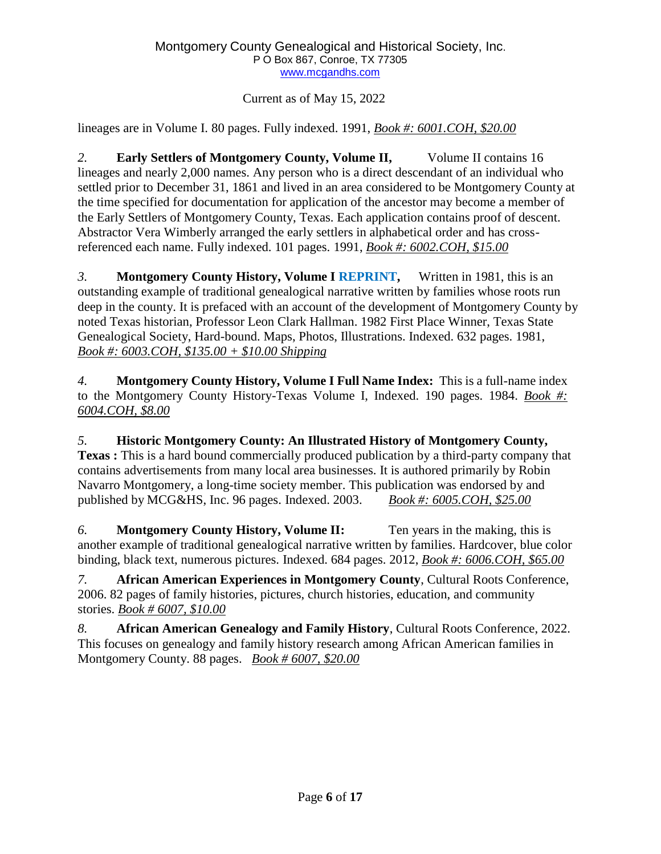Current as of May 15, 2022

lineages are in Volume I. 80 pages. Fully indexed. 1991, *Book #: 6001.COH, \$20.00*

*2.* **Early Settlers of Montgomery County, Volume II,** Volume II contains 16 lineages and nearly 2,000 names. Any person who is a direct descendant of an individual who settled prior to December 31, 1861 and lived in an area considered to be Montgomery County at the time specified for documentation for application of the ancestor may become a member of the Early Settlers of Montgomery County, Texas. Each application contains proof of descent. Abstractor Vera Wimberly arranged the early settlers in alphabetical order and has crossreferenced each name. Fully indexed. 101 pages. 1991, *Book #: 6002.COH, \$15.00*

*3.* **Montgomery County History, Volume I REPRINT,** Written in 1981, this is an outstanding example of traditional genealogical narrative written by families whose roots run deep in the county. It is prefaced with an account of the development of Montgomery County by noted Texas historian, Professor Leon Clark Hallman. 1982 First Place Winner, Texas State Genealogical Society, Hard-bound. Maps, Photos, Illustrations. Indexed. 632 pages. 1981, *Book #: 6003.COH, \$135.00 + \$10.00 Shipping*

*4.* **Montgomery County History, Volume I Full Name Index:** This is a full-name index to the Montgomery County History-Texas Volume I, Indexed. 190 pages. 1984. *Book #: 6004.COH, \$8.00*

*5.* **Historic Montgomery County: An Illustrated History of Montgomery County, Texas :** This is a hard bound commercially produced publication by a third-party company that contains advertisements from many local area businesses. It is authored primarily by Robin Navarro Montgomery, a long-time society member. This publication was endorsed by and published by MCG&HS, Inc. 96 pages. Indexed. 2003. *Book #: 6005.COH, \$25.00*

*6.* **Montgomery County History, Volume II:** Ten years in the making, this is another example of traditional genealogical narrative written by families. Hardcover, blue color binding, black text, numerous pictures. Indexed. 684 pages. 2012, *Book #: 6006.COH, \$65.00*

*7.* **African American Experiences in Montgomery County**, Cultural Roots Conference, 2006. 82 pages of family histories, pictures, church histories, education, and community stories. *Book # 6007, \$10.00*

*8.* **African American Genealogy and Family History**, Cultural Roots Conference, 2022. This focuses on genealogy and family history research among African American families in Montgomery County. 88 pages. *Book # 6007, \$20.00*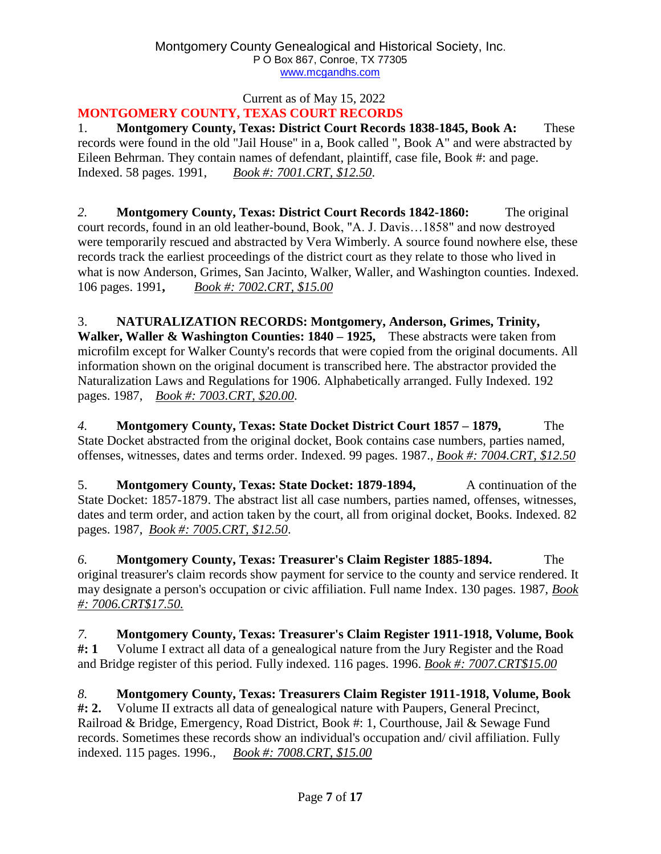#### Current as of May 15, 2022 **MONTGOMERY COUNTY, TEXAS COURT RECORDS**

1. **Montgomery County, Texas: District Court Records 1838-1845, Book A:** These records were found in the old "Jail House" in a, Book called ", Book A" and were abstracted by Eileen Behrman. They contain names of defendant, plaintiff, case file, Book #: and page. Indexed. 58 pages. 1991, *Book #: 7001.CRT, \$12.50*.

*2.* **Montgomery County, Texas: District Court Records 1842-1860:** The original court records, found in an old leather-bound, Book, "A. J. Davis…1858" and now destroyed were temporarily rescued and abstracted by Vera Wimberly. A source found nowhere else, these records track the earliest proceedings of the district court as they relate to those who lived in what is now Anderson, Grimes, San Jacinto, Walker, Waller, and Washington counties. Indexed. 106 pages. 1991**,** *Book #: 7002.CRT, \$15.00*

#### 3. **NATURALIZATION RECORDS: Montgomery, Anderson, Grimes, Trinity,**

**Walker, Waller & Washington Counties: 1840 – 1925,** These abstracts were taken from microfilm except for Walker County's records that were copied from the original documents. All information shown on the original document is transcribed here. The abstractor provided the Naturalization Laws and Regulations for 1906. Alphabetically arranged. Fully Indexed. 192 pages. 1987, *Book #: 7003.CRT, \$20.00*.

*4.* **Montgomery County, Texas: State Docket District Court 1857 – 1879,** The State Docket abstracted from the original docket, Book contains case numbers, parties named, offenses, witnesses, dates and terms order. Indexed. 99 pages. 1987., *Book #: 7004.CRT, \$12.50*

5. **Montgomery County, Texas: State Docket: 1879-1894,** A continuation of the State Docket: 1857-1879. The abstract list all case numbers, parties named, offenses, witnesses, dates and term order, and action taken by the court, all from original docket, Books. Indexed. 82 pages. 1987, *Book #: 7005.CRT, \$12.50*.

*6.* **Montgomery County, Texas: Treasurer's Claim Register 1885-1894.** The original treasurer's claim records show payment for service to the county and service rendered. It may designate a person's occupation or civic affiliation. Full name Index. 130 pages. 1987, *Book #: 7006.CRT\$17.50.*

*7.* **Montgomery County, Texas: Treasurer's Claim Register 1911-1918, Volume, Book #: 1** Volume I extract all data of a genealogical nature from the Jury Register and the Road and Bridge register of this period. Fully indexed. 116 pages. 1996. *Book #: 7007.CRT\$15.00*

*8.* **Montgomery County, Texas: Treasurers Claim Register 1911-1918, Volume, Book #: 2.** Volume II extracts all data of genealogical nature with Paupers, General Precinct, Railroad & Bridge, Emergency, Road District, Book #: 1, Courthouse, Jail & Sewage Fund records. Sometimes these records show an individual's occupation and/ civil affiliation. Fully indexed. 115 pages. 1996., *Book #: 7008.CRT, \$15.00*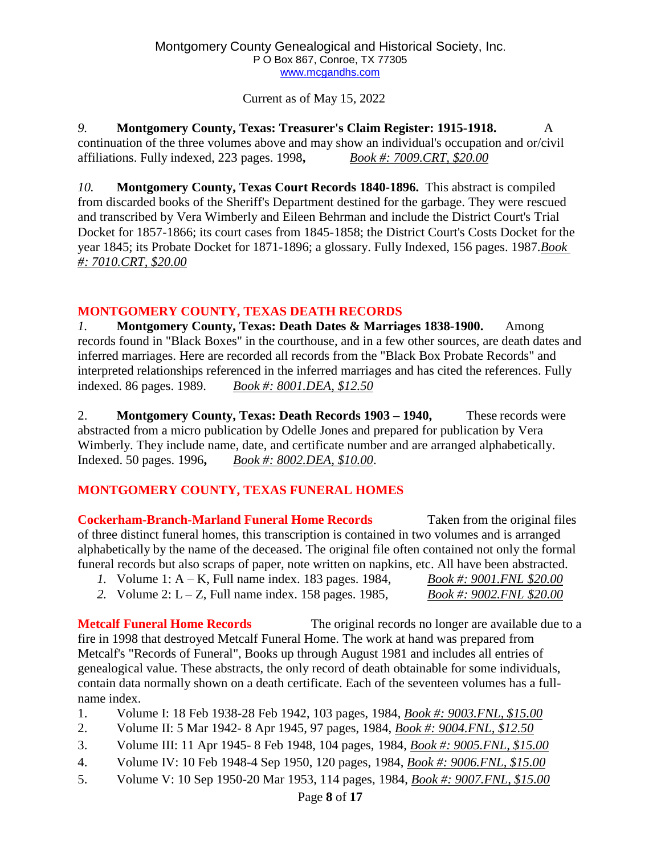Current as of May 15, 2022

*9.* **Montgomery County, Texas: Treasurer's Claim Register: 1915-1918.** A continuation of the three volumes above and may show an individual's occupation and or/civil affiliations. Fully indexed, 223 pages. 1998**,** *Book #: 7009.CRT, \$20.00*

*10.* **Montgomery County, Texas Court Records 1840-1896.** This abstract is compiled from discarded books of the Sheriff's Department destined for the garbage. They were rescued and transcribed by Vera Wimberly and Eileen Behrman and include the District Court's Trial Docket for 1857-1866; its court cases from 1845-1858; the District Court's Costs Docket for the year 1845; its Probate Docket for 1871-1896; a glossary. Fully Indexed, 156 pages. 1987.*Book #: 7010.CRT, \$20.00*

## **MONTGOMERY COUNTY, TEXAS DEATH RECORDS**

*1.* **Montgomery County, Texas: Death Dates & Marriages 1838-1900.** Among records found in "Black Boxes" in the courthouse, and in a few other sources, are death dates and inferred marriages. Here are recorded all records from the "Black Box Probate Records" and interpreted relationships referenced in the inferred marriages and has cited the references. Fully indexed. 86 pages. 1989. *Book #: 8001.DEA, \$12.50*

2. **Montgomery County, Texas: Death Records 1903 – 1940,** These records were abstracted from a micro publication by Odelle Jones and prepared for publication by Vera Wimberly. They include name, date, and certificate number and are arranged alphabetically. Indexed. 50 pages. 1996**,** *Book #: 8002.DEA, \$10.00*.

## **MONTGOMERY COUNTY, TEXAS FUNERAL HOMES**

**Cockerham-Branch-Marland Funeral Home Records** Taken from the original files of three distinct funeral homes, this transcription is contained in two volumes and is arranged alphabetically by the name of the deceased. The original file often contained not only the formal funeral records but also scraps of paper, note written on napkins, etc. All have been abstracted.

- *1.* Volume 1: A K, Full name index. 183 pages. 1984, *Book #: 9001.FNL \$20.00*
- *2.* Volume 2: L Z, Full name index. 158 pages. 1985, *Book #: 9002.FNL \$20.00*

**Metcalf Funeral Home Records** The original records no longer are available due to a fire in 1998 that destroyed Metcalf Funeral Home. The work at hand was prepared from Metcalf's "Records of Funeral", Books up through August 1981 and includes all entries of genealogical value. These abstracts, the only record of death obtainable for some individuals, contain data normally shown on a death certificate. Each of the seventeen volumes has a fullname index.

- 1. Volume I: 18 Feb 1938-28 Feb 1942, 103 pages, 1984, *Book #: 9003.FNL, \$15.00*
- 2. Volume II: 5 Mar 1942- 8 Apr 1945, 97 pages, 1984, *Book #: 9004.FNL, \$12.50*
- 3. Volume III: 11 Apr 1945- 8 Feb 1948, 104 pages, 1984, *Book #: 9005.FNL, \$15.00*
- 4. Volume IV: 10 Feb 1948-4 Sep 1950, 120 pages, 1984, *Book #: 9006.FNL, \$15.00*
- 5. Volume V: 10 Sep 1950-20 Mar 1953, 114 pages, 1984, *Book #: 9007.FNL, \$15.00*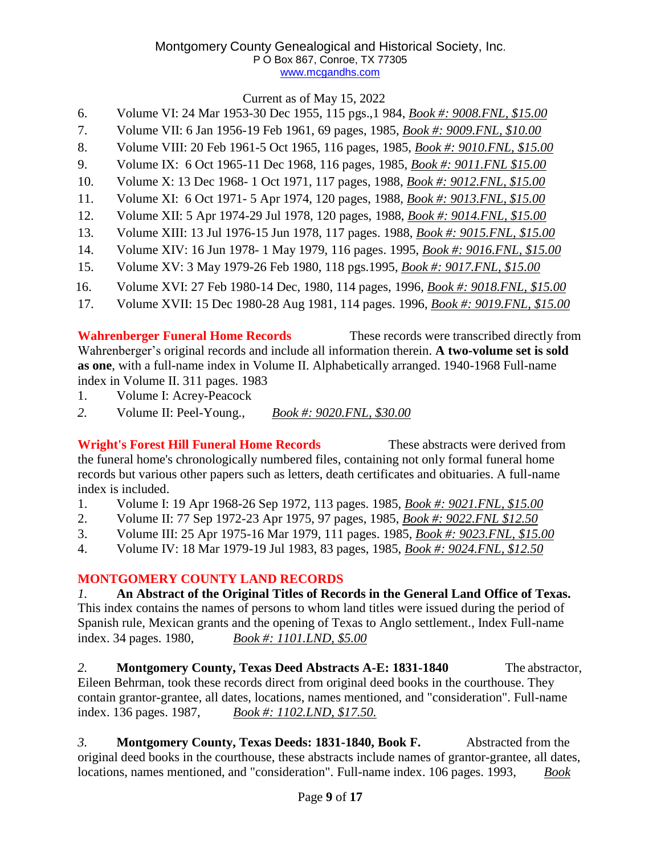Current as of May 15, 2022

- 6. Volume VI: 24 Mar 1953-30 Dec 1955, 115 pgs.,1 984, *Book #: 9008.FNL, \$15.00*
- 7. Volume VII: 6 Jan 1956-19 Feb 1961, 69 pages, 1985, *Book #: 9009.FNL, \$10.00*
- 8. Volume VIII: 20 Feb 1961-5 Oct 1965, 116 pages, 1985, *Book #: 9010.FNL, \$15.00*
- 9. Volume IX: 6 Oct 1965-11 Dec 1968, 116 pages, 1985, *Book #: 9011.FNL \$15.00*
- 10. Volume X: 13 Dec 1968- 1 Oct 1971, 117 pages, 1988, *Book #: 9012.FNL, \$15.00*
- 11. Volume XI: 6 Oct 1971- 5 Apr 1974, 120 pages, 1988, *Book #: 9013.FNL, \$15.00*
- 12. Volume XII: 5 Apr 1974-29 Jul 1978, 120 pages, 1988, *Book #: 9014.FNL, \$15.00*
- 13. Volume XIII: 13 Jul 1976-15 Jun 1978, 117 pages. 1988, *Book #: 9015.FNL, \$15.00*
- 14. Volume XIV: 16 Jun 1978- 1 May 1979, 116 pages. 1995, *Book #: 9016.FNL, \$15.00*
- 15. Volume XV: 3 May 1979-26 Feb 1980, 118 pgs.1995, *Book #: 9017.FNL, \$15.00*
- 16. Volume XVI: 27 Feb 1980-14 Dec, 1980, 114 pages, 1996, *Book #: 9018.FNL, \$15.00*
- 17. Volume XVII: 15 Dec 1980-28 Aug 1981, 114 pages. 1996, *Book #: 9019.FNL, \$15.00*

**Wahrenberger Funeral Home Records** These records were transcribed directly from Wahrenberger's original records and include all information therein. **A two-volume set is sold as one**, with a full-name index in Volume II. Alphabetically arranged. 1940-1968 Full-name index in Volume II. 311 pages. 1983

- 1. Volume I: Acrey-Peacock
- *2.* Volume II: Peel-Young., *Book #: 9020.FNL, \$30.00*

**Wright's Forest Hill Funeral Home Records** These abstracts were derived from the funeral home's chronologically numbered files, containing not only formal funeral home records but various other papers such as letters, death certificates and obituaries. A full-name index is included.

- 1. Volume I: 19 Apr 1968-26 Sep 1972, 113 pages. 1985, *Book #: 9021.FNL, \$15.00*
- 2. Volume II: 77 Sep 1972-23 Apr 1975, 97 pages, 1985, *Book #: 9022.FNL \$12.50*
- 3. Volume III: 25 Apr 1975-16 Mar 1979, 111 pages. 1985, *Book #: 9023.FNL, \$15.00*
- 4. Volume IV: 18 Mar 1979-19 Jul 1983, 83 pages, 1985, *Book #: 9024.FNL, \$12.50*

## **MONTGOMERY COUNTY LAND RECORDS**

*1.* **An Abstract of the Original Titles of Records in the General Land Office of Texas.** This index contains the names of persons to whom land titles were issued during the period of Spanish rule, Mexican grants and the opening of Texas to Anglo settlement., Index Full-name index. 34 pages. 1980, *Book #: 1101.LND, \$5.00*

*2.* **Montgomery County, Texas Deed Abstracts A-E: 1831-1840** The abstractor, Eileen Behrman, took these records direct from original deed books in the courthouse. They contain grantor-grantee, all dates, locations, names mentioned, and "consideration". Full-name index. 136 pages. 1987, *Book #: 1102.LND, \$17.50.*

*3.* **Montgomery County, Texas Deeds: 1831-1840, Book F.** Abstracted from the original deed books in the courthouse, these abstracts include names of grantor-grantee, all dates, locations, names mentioned, and "consideration". Full-name index. 106 pages. 1993, *Book*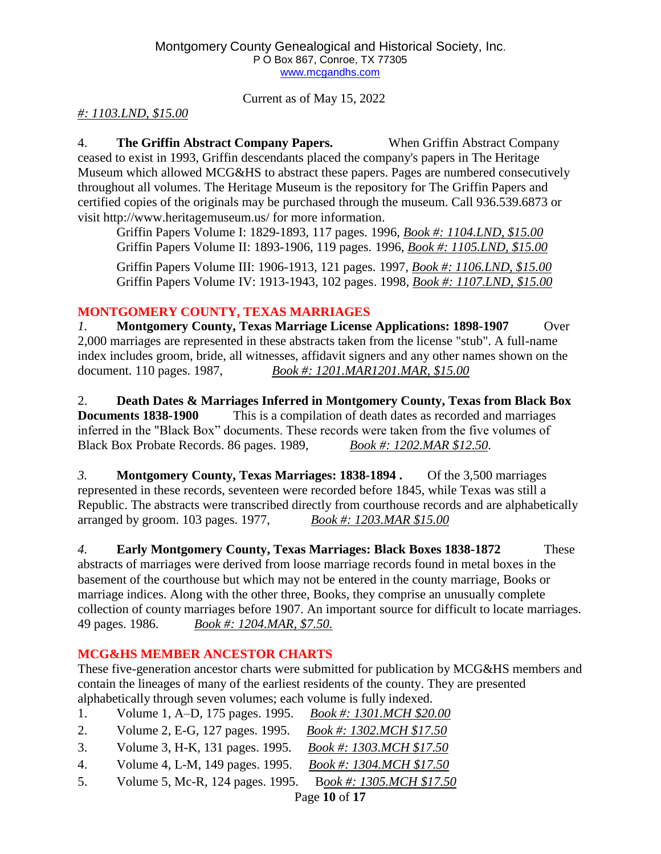Current as of May 15, 2022

## *#: 1103.LND, \$15.00*

4. **The Griffin Abstract Company Papers.** When Griffin Abstract Company ceased to exist in 1993, Griffin descendants placed the company's papers in The Heritage Museum which allowed MCG&HS to abstract these papers. Pages are numbered consecutively throughout all volumes. The Heritage Museum is the repository for The Griffin Papers and certified copies of the originals may be purchased through the museum. Call 936.539.6873 or visit [http://www.heritagemuseum.us/ f](http://www.heritagemuseum.us/)or more information.

Griffin Papers Volume I: 1829-1893, 117 pages. 1996, *Book #: 1104.LND, \$15.00* Griffin Papers Volume II: 1893-1906, 119 pages. 1996, *Book #: 1105.LND, \$15.00*

Griffin Papers Volume III: 1906-1913, 121 pages. 1997, *Book #: 1106.LND, \$15.00* Griffin Papers Volume IV: 1913-1943, 102 pages. 1998, *Book #: 1107.LND, \$15.00*

## **MONTGOMERY COUNTY, TEXAS MARRIAGES**

*1.* **Montgomery County, Texas Marriage License Applications: 1898-1907** Over 2,000 marriages are represented in these abstracts taken from the license "stub". A full-name index includes groom, bride, all witnesses, affidavit signers and any other names shown on the document. 110 pages. 1987, *Book #: 1201.MAR1201.MAR, \$15.00*

2. **Death Dates & Marriages Inferred in Montgomery County, Texas from Black Box Documents** 1838-1900 This is a compilation of death dates as recorded and marriages inferred in the "Black Box" documents. These records were taken from the five volumes of Black Box Probate Records. 86 pages. 1989, *Book #: 1202.MAR \$12.50*.

*3.* **Montgomery County, Texas Marriages: 1838-1894 .** Of the 3,500 marriages represented in these records, seventeen were recorded before 1845, while Texas was still a Republic. The abstracts were transcribed directly from courthouse records and are alphabetically arranged by groom. 103 pages. 1977, *Book #: 1203.MAR \$15.00*

*4.* **Early Montgomery County, Texas Marriages: Black Boxes 1838-1872** These abstracts of marriages were derived from loose marriage records found in metal boxes in the basement of the courthouse but which may not be entered in the county marriage, Books or marriage indices. Along with the other three, Books, they comprise an unusually complete collection of county marriages before 1907. An important source for difficult to locate marriages. 49 pages. 1986. *Book #: 1204.MAR, \$7.50.*

## **MCG&HS MEMBER ANCESTOR CHARTS**

These five-generation ancestor charts were submitted for publication by MCG&HS members and contain the lineages of many of the earliest residents of the county. They are presented alphabetically through seven volumes; each volume is fully indexed.

- 1. Volume 1, A–D, 175 pages. 1995. *Book #: 1301.MCH \$20.00*
- 2. Volume 2, E-G, 127 pages. 1995. *Book #: 1302.MCH \$17.50*
- 3. Volume 3, H-K, 131 pages. 1995. *Book #: 1303.MCH \$17.50*
- 4. Volume 4, L-M, 149 pages. 1995. *Book #: 1304.MCH \$17.50*
- 5. Volume 5, Mc-R, 124 pages. 1995. B*ook #: 1305.MCH \$17.50*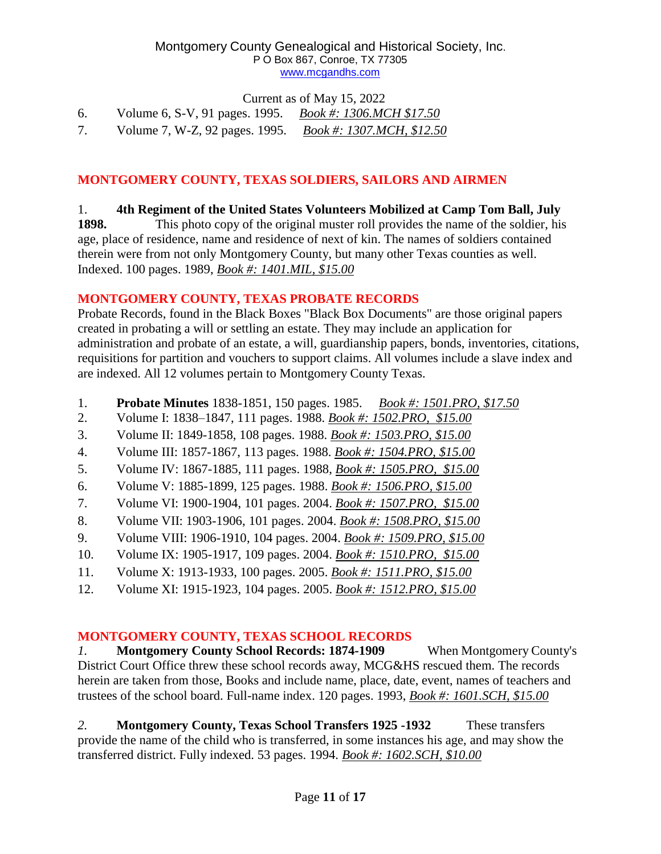Current as of May 15, 2022

| 6. | Volume 6, S-V, 91 pages. 1995. | <i>Book #: 1306.MCH \$17.50</i> |
|----|--------------------------------|---------------------------------|
|    | Volume 7, W-Z, 92 pages. 1995. | Book #: 1307.MCH, \$12.50       |

## **MONTGOMERY COUNTY, TEXAS SOLDIERS, SAILORS AND AIRMEN**

## 1. **4th Regiment of the United States Volunteers Mobilized at Camp Tom Ball, July**

**1898.** This photo copy of the original muster roll provides the name of the soldier, his age, place of residence, name and residence of next of kin. The names of soldiers contained therein were from not only Montgomery County, but many other Texas counties as well. Indexed. 100 pages. 1989, *Book #: 1401.MIL, \$15.00*

## **MONTGOMERY COUNTY, TEXAS PROBATE RECORDS**

Probate Records, found in the Black Boxes "Black Box Documents" are those original papers created in probating a will or settling an estate. They may include an application for administration and probate of an estate, a will, guardianship papers, bonds, inventories, citations, requisitions for partition and vouchers to support claims. All volumes include a slave index and are indexed. All 12 volumes pertain to Montgomery County Texas.

- 1. **Probate Minutes** 1838-1851, 150 pages. 1985. *Book #: 1501.PRO, \$17.50*
- 2. Volume I: 1838–1847, 111 pages. 1988. *Book #: 1502.PRO, \$15.00*
- 3. Volume II: 1849-1858, 108 pages. 1988. *Book #: 1503.PRO, \$15.00*
- 4. Volume III: 1857-1867, 113 pages. 1988. *Book #: 1504.PRO, \$15.00*
- 5. Volume IV: 1867-1885, 111 pages. 1988, *Book #: 1505.PRO, \$15.00*
- 6. Volume V: 1885-1899, 125 pages. 1988. *Book #: 1506.PRO, \$15.00*
- 7. Volume VI: 1900-1904, 101 pages. 2004. *Book #: 1507.PRO, \$15.00*
- 8. Volume VII: 1903-1906, 101 pages. 2004. *Book #: 1508.PRO, \$15.00*
- 9. Volume VIII: 1906-1910, 104 pages. 2004. *Book #: 1509.PRO, \$15.00*
- 10. Volume IX: 1905-1917, 109 pages. 2004. *Book #: 1510.PRO, \$15.00*
- 11. Volume X: 1913-1933, 100 pages. 2005. *Book #: 1511.PRO, \$15.00*
- 12. Volume XI: 1915-1923, 104 pages. 2005. *Book #: 1512.PRO, \$15.00*

## **MONTGOMERY COUNTY, TEXAS SCHOOL RECORDS**

*1.* **Montgomery County School Records: 1874-1909** When Montgomery County's District Court Office threw these school records away, MCG&HS rescued them. The records herein are taken from those, Books and include name, place, date, event, names of teachers and trustees of the school board. Full-name index. 120 pages. 1993, *Book #: 1601.SCH, \$15.00*

*2.* **Montgomery County, Texas School Transfers 1925 -1932** These transfers provide the name of the child who is transferred, in some instances his age, and may show the transferred district. Fully indexed. 53 pages. 1994. *Book #: 1602.SCH, \$10.00*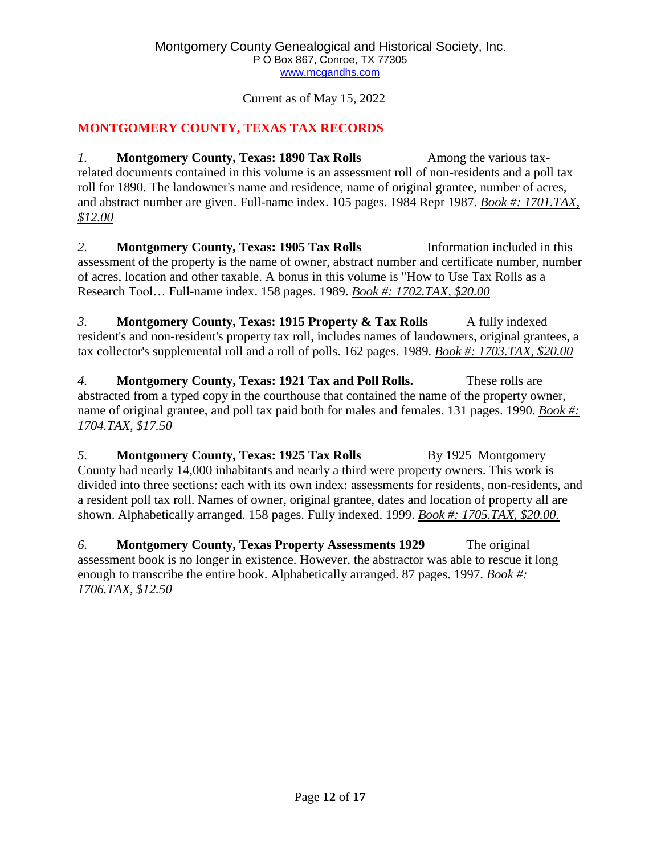## **MONTGOMERY COUNTY, TEXAS TAX RECORDS**

*1.* **Montgomery County, Texas: 1890 Tax Rolls** Among the various taxrelated documents contained in this volume is an assessment roll of non-residents and a poll tax roll for 1890. The landowner's name and residence, name of original grantee, number of acres, and abstract number are given. Full-name index. 105 pages. 1984 Repr 1987. *Book #: 1701.TAX, \$12.00*

*2.* **Montgomery County, Texas: 1905 Tax Rolls** Information included in this assessment of the property is the name of owner, abstract number and certificate number, number of acres, location and other taxable. A bonus in this volume is "How to Use Tax Rolls as a Research Tool… Full-name index. 158 pages. 1989. *Book #: 1702.TAX, \$20.00*

*3.* **Montgomery County, Texas: 1915 Property & Tax Rolls** A fully indexed resident's and non-resident's property tax roll, includes names of landowners, original grantees, a tax collector's supplemental roll and a roll of polls. 162 pages. 1989. *Book #: 1703.TAX, \$20.00*

*4.* **Montgomery County, Texas: 1921 Tax and Poll Rolls.** These rolls are abstracted from a typed copy in the courthouse that contained the name of the property owner, name of original grantee, and poll tax paid both for males and females. 131 pages. 1990. *Book #: 1704.TAX, \$17.50*

*5.* **Montgomery County, Texas: 1925 Tax Rolls** By 1925 Montgomery County had nearly 14,000 inhabitants and nearly a third were property owners. This work is divided into three sections: each with its own index: assessments for residents, non-residents, and a resident poll tax roll. Names of owner, original grantee, dates and location of property all are shown. Alphabetically arranged. 158 pages. Fully indexed. 1999. *Book #: 1705.TAX, \$20.00.*

*6.* **Montgomery County, Texas Property Assessments 1929** The original assessment book is no longer in existence. However, the abstractor was able to rescue it long enough to transcribe the entire book. Alphabetically arranged. 87 pages. 1997. *Book #: 1706.TAX, \$12.50*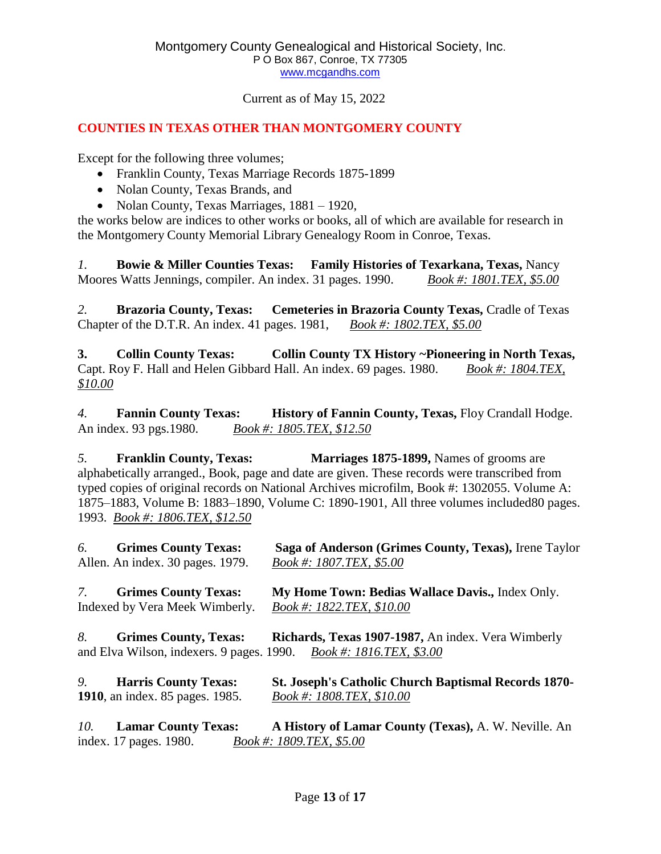## **COUNTIES IN TEXAS OTHER THAN MONTGOMERY COUNTY**

Except for the following three volumes;

- Franklin County, Texas Marriage Records 1875-1899
- Nolan County, Texas Brands, and
- Nolan County, Texas Marriages, 1881 1920,

the works below are indices to other works or books, all of which are available for research in the Montgomery County Memorial Library Genealogy Room in Conroe, Texas.

*1.* **Bowie & Miller Counties Texas: Family Histories of Texarkana, Texas,** Nancy Moores Watts Jennings, compiler. An index. 31 pages. 1990. *Book #: 1801.TEX, \$5.00*

*2.* **Brazoria County, Texas: Cemeteries in Brazoria County Texas,** Cradle of Texas Chapter of the D.T.R. An index. 41 pages. 1981, *Book #: 1802.TEX, \$5.00*

**3. Collin County Texas: Collin County TX History ~Pioneering in North Texas,** Capt. Roy F. Hall and Helen Gibbard Hall. An index. 69 pages. 1980. *Book #: 1804.TEX, \$10.00*

*4.* **Fannin County Texas: History of Fannin County, Texas,** Floy Crandall Hodge. An index. 93 pgs.1980. *Book #: 1805.TEX, \$12.50*

*5.* **Franklin County, Texas: Marriages 1875-1899,** Names of grooms are alphabetically arranged., Book, page and date are given. These records were transcribed from typed copies of original records on National Archives microfilm, Book #: 1302055. Volume A: 1875–1883, Volume B: 1883–1890, Volume C: 1890-1901, All three volumes included80 pages. 1993. *Book #: 1806.TEX, \$12.50*

| 6. | <b>Grimes County Texas:</b><br>Allen. An index. 30 pages. 1979. | Saga of Anderson (Grimes County, Texas), Irene Taylor<br>Book #: 1807.TEX, \$5.00                                          |
|----|-----------------------------------------------------------------|----------------------------------------------------------------------------------------------------------------------------|
|    | 7. Grimes County Texas:                                         | My Home Town: Bedias Wallace Davis., Index Only.                                                                           |
|    | Indexed by Vera Meek Wimberly.                                  | Book #: 1822.TEX, \$10.00                                                                                                  |
| 8. | <b>Grimes County, Texas:</b>                                    | Richards, Texas 1907-1987, An index. Vera Wimberly<br>and Elva Wilson, indexers. 9 pages. 1990. $Book #: 1816. TEX, $3.00$ |
| 9. | <b>Harris County Texas:</b><br>1910, an index. 85 pages. 1985.  | <b>St. Joseph's Catholic Church Baptismal Records 1870-</b><br>Book #: 1808.TEX, \$10.00                                   |

*10.* **Lamar County Texas: A History of Lamar County (Texas),** A. W. Neville. An index. 17 pages. 1980. *Book #: 1809.TEX, \$5.00*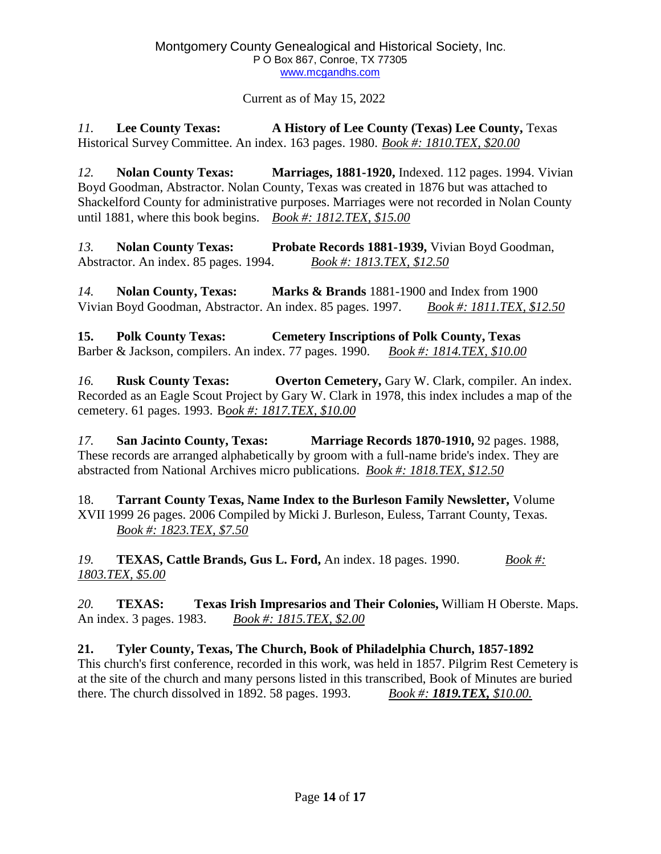*11.* **Lee County Texas: A History of Lee County (Texas) Lee County,** Texas Historical Survey Committee. An index. 163 pages. 1980. *Book #: 1810.TEX, \$20.00*

*12.* **Nolan County Texas: Marriages, 1881-1920,** Indexed. 112 pages. 1994. Vivian Boyd Goodman, Abstractor. Nolan County, Texas was created in 1876 but was attached to Shackelford County for administrative purposes. Marriages were not recorded in Nolan County until 1881, where this book begins. *Book #: 1812.TEX, \$15.00*

*13.* **Nolan County Texas: Probate Records 1881-1939,** Vivian Boyd Goodman, Abstractor. An index. 85 pages. 1994. *Book #: 1813.TEX, \$12.50*

*14.* **Nolan County, Texas: Marks & Brands** 1881-1900 and Index from 1900 Vivian Boyd Goodman, Abstractor. An index. 85 pages. 1997. *Book #: 1811.TEX, \$12.50*

**15. Polk County Texas: Cemetery Inscriptions of Polk County, Texas** Barber & Jackson, compilers. An index. 77 pages. 1990. *Book #: 1814.TEX, \$10.00*

*16.* **Rusk County Texas: Overton Cemetery,** Gary W. Clark, compiler. An index. Recorded as an Eagle Scout Project by Gary W. Clark in 1978, this index includes a map of the cemetery. 61 pages. 1993. B*ook #: 1817.TEX, \$10.00*

*17.* **San Jacinto County, Texas: Marriage Records 1870-1910,** 92 pages. 1988, These records are arranged alphabetically by groom with a full-name bride's index. They are abstracted from National Archives micro publications. *Book #: 1818.TEX, \$12.50*

18. **Tarrant County Texas, Name Index to the Burleson Family Newsletter,** Volume XVII 1999 26 pages. 2006 Compiled by Micki J. Burleson, Euless, Tarrant County, Texas. *Book #: 1823.TEX, \$7.50*

*19.* **TEXAS, Cattle Brands, Gus L. Ford,** An index. 18 pages. 1990. *Book #: 1803.TEX, \$5.00*

*20.* **TEXAS: Texas Irish Impresarios and Their Colonies,** William H Oberste. Maps. An index. 3 pages. 1983. *Book #: 1815.TEX, \$2.00*

**21. Tyler County, Texas, The Church, Book of Philadelphia Church, 1857-1892** This church's first conference, recorded in this work, was held in 1857. Pilgrim Rest Cemetery is at the site of the church and many persons listed in this transcribed, Book of Minutes are buried there. The church dissolved in 1892. 58 pages. 1993. *Book #: 1819.TEX, \$10.00.*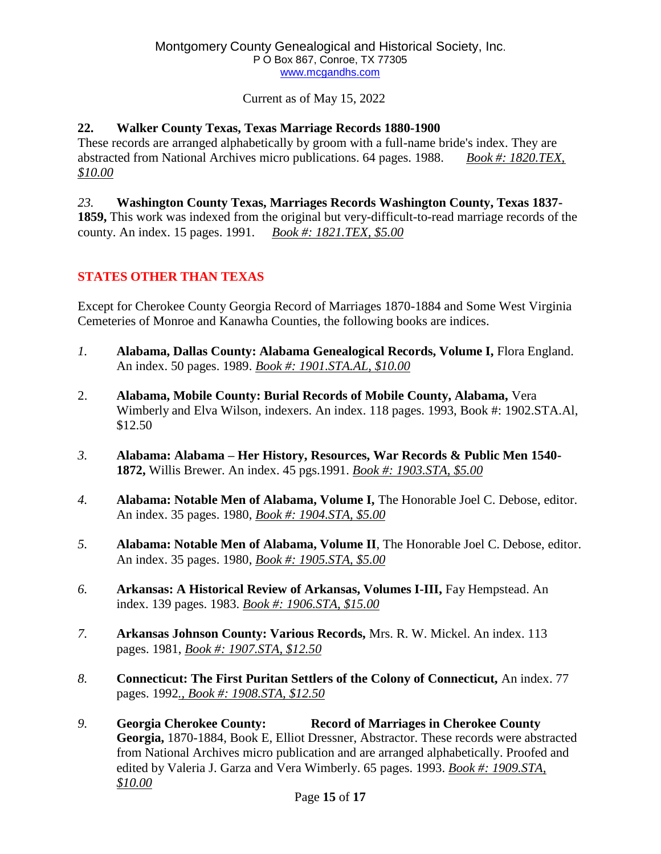## **22. Walker County Texas, Texas Marriage Records 1880-1900**

These records are arranged alphabetically by groom with a full-name bride's index. They are abstracted from National Archives micro publications. 64 pages. 1988. *Book #: 1820.TEX, \$10.00*

*23.* **Washington County Texas, Marriages Records Washington County, Texas 1837- 1859,** This work was indexed from the original but very-difficult-to-read marriage records of the county. An index. 15 pages. 1991. *Book #: 1821.TEX, \$5.00*

## **STATES OTHER THAN TEXAS**

Except for Cherokee County Georgia Record of Marriages 1870-1884 and Some West Virginia Cemeteries of Monroe and Kanawha Counties, the following books are indices.

- *1.* **Alabama, Dallas County: Alabama Genealogical Records, Volume I,** Flora England. An index. 50 pages. 1989. *Book #: 1901.STA.AL, \$10.00*
- 2. **Alabama, Mobile County: Burial Records of Mobile County, Alabama,** Vera Wimberly and Elva Wilson, indexers. An index. 118 pages. 1993, Book #: 1902.STA.Al, \$12.50
- *3.* **Alabama: Alabama – Her History, Resources, War Records & Public Men 1540- 1872,** Willis Brewer. An index. 45 pgs.1991. *Book #: 1903.STA, \$5.00*
- *4.* **Alabama: Notable Men of Alabama, Volume I,** The Honorable Joel C. Debose, editor. An index. 35 pages. 1980, *Book #: 1904.STA, \$5.00*
- *5.* **Alabama: Notable Men of Alabama, Volume II**, The Honorable Joel C. Debose, editor. An index. 35 pages. 1980, *Book #: 1905.STA, \$5.00*
- *6.* **Arkansas: A Historical Review of Arkansas, Volumes I-III,** Fay Hempstead. An index. 139 pages. 1983. *Book #: 1906.STA, \$15.00*
- *7.* **Arkansas Johnson County: Various Records,** Mrs. R. W. Mickel. An index. 113 pages. 1981, *Book #: 1907.STA, \$12.50*
- *8.* **Connecticut: The First Puritan Settlers of the Colony of Connecticut,** An index. 77 pages. 1992*., Book #: 1908.STA, \$12.50*
- *9.* **Georgia Cherokee County: Record of Marriages in Cherokee County Georgia,** 1870-1884, Book E, Elliot Dressner, Abstractor. These records were abstracted from National Archives micro publication and are arranged alphabetically. Proofed and edited by Valeria J. Garza and Vera Wimberly. 65 pages. 1993. *Book #: 1909.STA, \$10.00*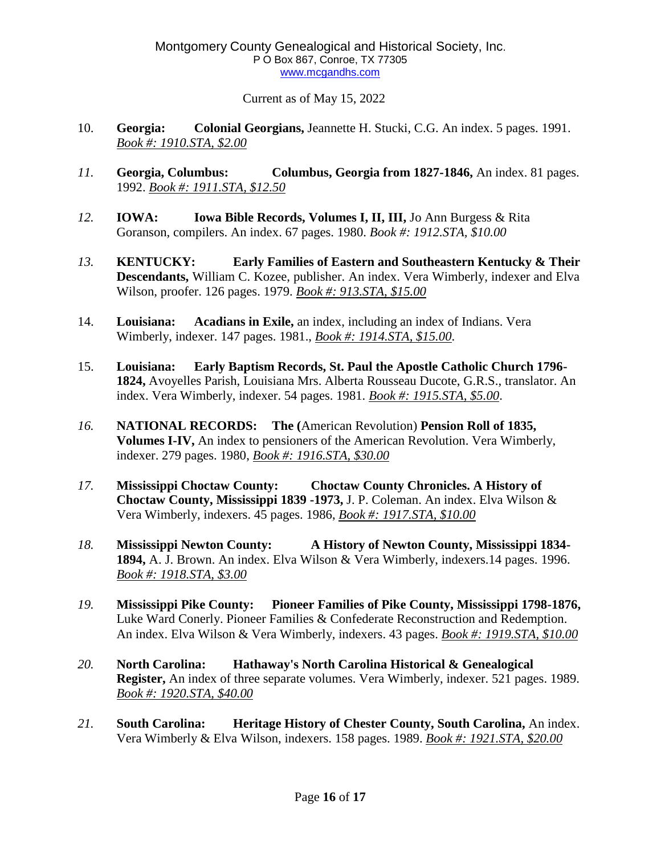- 10. **Georgia: Colonial Georgians,** Jeannette H. Stucki, C.G. An index. 5 pages. 1991. *Book #: 1910.STA, \$2.00*
- *11.* **Georgia, Columbus: Columbus, Georgia from 1827-1846,** An index. 81 pages. 1992. *Book #: 1911.STA, \$12.50*
- *12.* **IOWA: Iowa Bible Records, Volumes I, II, III,** Jo Ann Burgess & Rita Goranson, compilers. An index. 67 pages. 1980. *Book #: 1912.STA, \$10.00*
- *13.* **KENTUCKY: Early Families of Eastern and Southeastern Kentucky & Their Descendants,** William C. Kozee, publisher. An index. Vera Wimberly, indexer and Elva Wilson, proofer. 126 pages. 1979. *Book #: 913.STA, \$15.00*
- 14. **Louisiana: Acadians in Exile,** an index, including an index of Indians. Vera Wimberly, indexer. 147 pages. 1981., *Book #: 1914.STA, \$15.00*.
- 15. **Louisiana: Early Baptism Records, St. Paul the Apostle Catholic Church 1796- 1824,** Avoyelles Parish, Louisiana Mrs. Alberta Rousseau Ducote, G.R.S., translator. An index. Vera Wimberly, indexer. 54 pages. 1981. *Book #: 1915.STA, \$5.00*.
- *16.* **NATIONAL RECORDS: The (**American Revolution) **Pension Roll of 1835, Volumes I-IV,** An index to pensioners of the American Revolution. Vera Wimberly, indexer. 279 pages. 1980, *Book #: 1916.STA, \$30.00*
- *17.* **Mississippi Choctaw County: Choctaw County Chronicles. A History of Choctaw County, Mississippi 1839 -1973,** J. P. Coleman. An index. Elva Wilson & Vera Wimberly, indexers. 45 pages. 1986, *Book #: 1917.STA, \$10.00*
- *18.* **Mississippi Newton County: A History of Newton County, Mississippi 1834- 1894,** A. J. Brown. An index. Elva Wilson & Vera Wimberly, indexers.14 pages. 1996. *Book #: 1918.STA, \$3.00*
- *19.* **Mississippi Pike County: Pioneer Families of Pike County, Mississippi 1798-1876,** Luke Ward Conerly. Pioneer Families & Confederate Reconstruction and Redemption. An index. Elva Wilson & Vera Wimberly, indexers. 43 pages. *Book #: 1919.STA, \$10.00*
- *20.* **North Carolina: Hathaway's North Carolina Historical & Genealogical Register,** An index of three separate volumes. Vera Wimberly, indexer. 521 pages. 1989. *Book #: 1920.STA, \$40.00*
- *21.* **South Carolina: Heritage History of Chester County, South Carolina,** An index. Vera Wimberly & Elva Wilson, indexers. 158 pages. 1989. *Book #: 1921.STA, \$20.00*